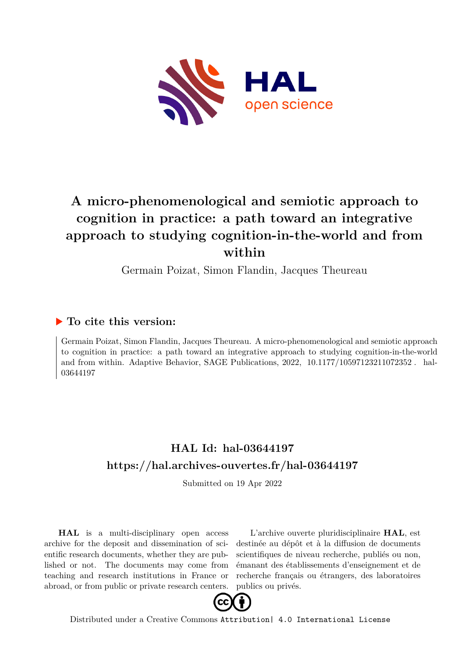

# **A micro-phenomenological and semiotic approach to cognition in practice: a path toward an integrative approach to studying cognition-in-the-world and from within**

Germain Poizat, Simon Flandin, Jacques Theureau

# **To cite this version:**

Germain Poizat, Simon Flandin, Jacques Theureau. A micro-phenomenological and semiotic approach to cognition in practice: a path toward an integrative approach to studying cognition-in-the-world and from within. Adaptive Behavior, SAGE Publications,  $2022$ ,  $10.1177/10597123211072352$ . hal-03644197

# **HAL Id: hal-03644197 <https://hal.archives-ouvertes.fr/hal-03644197>**

Submitted on 19 Apr 2022

**HAL** is a multi-disciplinary open access archive for the deposit and dissemination of scientific research documents, whether they are published or not. The documents may come from teaching and research institutions in France or abroad, or from public or private research centers.

L'archive ouverte pluridisciplinaire **HAL**, est destinée au dépôt et à la diffusion de documents scientifiques de niveau recherche, publiés ou non, émanant des établissements d'enseignement et de recherche français ou étrangers, des laboratoires publics ou privés.



Distributed under a Creative Commons [Attribution| 4.0 International License](http://creativecommons.org/licenses/by/4.0/)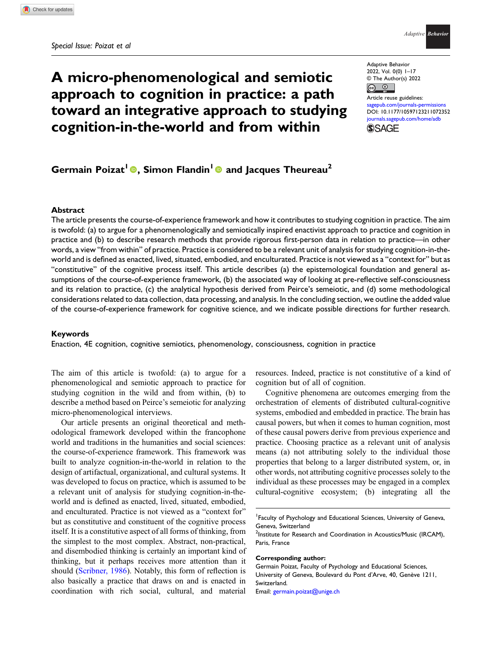# A micro-phenomenological and semiotic approach to cognition in practice: a path toward an integrative approach to studying cognition-in-the-world and from within

Adaptive Behavior 2022, Vol. 0(0) 1–17 © The Author(s) 2022  $\bullet$ 

 $\odot$ Article reuse guidelines: aub.com/journals-permission DOI: [10.1177/10597123211072352](https://doi.org/10.1177/10597123211072352) [journals.sagepub.com/home/adb](https://journals.sagepub.com/home/adb) **SSAGE** 

# Germain Poizat<sup>1</sup> **.** Simon Flandin<sup>1</sup> and Jacques Theureau<sup>2</sup>

### Abstract

The article presents the course-of-experience framework and how it contributes to studying cognition in practice. The aim is twofold: (a) to argue for a phenomenologically and semiotically inspired enactivist approach to practice and cognition in practice and (b) to describe research methods that provide rigorous first-person data in relation to practice—in other words, a view "from within" of practice. Practice is considered to be a relevant unit of analysis for studying cognition-in-theworld and is defined as enacted, lived, situated, embodied, and enculturated. Practice is not viewed as a "context for" but as "constitutive" of the cognitive process itself. This article describes (a) the epistemological foundation and general assumptions of the course-of-experience framework, (b) the associated way of looking at pre-reflective self-consciousness and its relation to practice, (c) the analytical hypothesis derived from Peirce's semeiotic, and (d) some methodological considerations related to data collection, data processing, and analysis. In the concluding section, we outline the added value of the course-of-experience framework for cognitive science, and we indicate possible directions for further research.

#### Keywords

Enaction, 4E cognition, cognitive semiotics, phenomenology, consciousness, cognition in practice

The aim of this article is twofold: (a) to argue for a phenomenological and semiotic approach to practice for studying cognition in the wild and from within, (b) to describe a method based on Peirce's semeiotic for analyzing micro-phenomenological interviews.

Our article presents an original theoretical and methodological framework developed within the francophone world and traditions in the humanities and social sciences: the course-of-experience framework. This framework was built to analyze cognition-in-the-world in relation to the design of artifactual, organizational, and cultural systems. It was developed to focus on practice, which is assumed to be a relevant unit of analysis for studying cognition-in-theworld and is defined as enacted, lived, situated, embodied, and enculturated. Practice is not viewed as a "context for" but as constitutive and constituent of the cognitive process itself. It is a constitutive aspect of all forms of thinking, from the simplest to the most complex. Abstract, non-practical, and disembodied thinking is certainly an important kind of thinking, but it perhaps receives more attention than it should (Scribner, 1986). Notably, this form of reflection is also basically a practice that draws on and is enacted in coordination with rich social, cultural, and material resources. Indeed, practice is not constitutive of a kind of cognition but of all of cognition.

Cognitive phenomena are outcomes emerging from the orchestration of elements of distributed cultural-cognitive systems, embodied and embedded in practice. The brain has causal powers, but when it comes to human cognition, most of these causal powers derive from previous experience and practice. Choosing practice as a relevant unit of analysis means (a) not attributing solely to the individual those properties that belong to a larger distributed system, or, in other words, not attributing cognitive processes solely to the individual as these processes may be engaged in a complex cultural-cognitive ecosystem; (b) integrating all the

#### Corresponding author:

Email: [germain.poizat@unige.ch](mailto:germain.poizat@unige.ch)

<sup>1</sup> Faculty of Psychology and Educational Sciences, University of Geneva, Geneva, Switzerland

<sup>&</sup>lt;sup>2</sup>Institute for Research and Coordination in Acoustics/Music (IRCAM), Paris, France

Germain Poizat, Faculty of Psychology and Educational Sciences, University of Geneva, Boulevard du Pont d'Arve, 40, Genève 1211, Switzerland.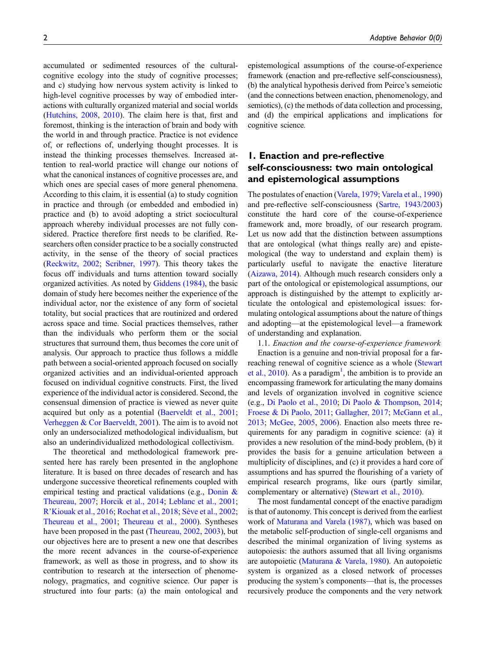accumulated or sedimented resources of the culturalcognitive ecology into the study of cognitive processes; and c) studying how nervous system activity is linked to high-level cognitive processes by way of embodied interactions with culturally organized material and social worlds (Hutchins, 2008, 2010). The claim here is that, first and foremost, thinking is the interaction of brain and body with the world in and through practice. Practice is not evidence of, or reflections of, underlying thought processes. It is instead the thinking processes themselves. Increased attention to real-world practice will change our notions of what the canonical instances of cognitive processes are, and which ones are special cases of more general phenomena. According to this claim, it is essential (a) to study cognition in practice and through (or embedded and embodied in) practice and (b) to avoid adopting a strict sociocultural approach whereby individual processes are not fully considered. Practice therefore first needs to be clarified. Researchers often consider practice to be a socially constructed activity, in the sense of the theory of social practices (Reckwitz, 2002; Scribner, 1997). This theory takes the focus off individuals and turns attention toward socially organized activities. As noted by Giddens (1984), the basic domain of study here becomes neither the experience of the individual actor, nor the existence of any form of societal totality, but social practices that are routinized and ordered across space and time. Social practices themselves, rather than the individuals who perform them or the social structures that surround them, thus becomes the core unit of analysis. Our approach to practice thus follows a middle path between a social-oriented approach focused on socially organized activities and an individual-oriented approach focused on individual cognitive constructs. First, the lived experience of the individual actor is considered. Second, the consensual dimension of practice is viewed as never quite acquired but only as a potential (Baerveldt et al., 2001; Verheggen & Cor Baerveldt, 2001). The aim is to avoid not only an undersocialized methodological individualism, but also an underindividualized methodological collectivism.

The theoretical and methodological framework presented here has rarely been presented in the anglophone literature. It is based on three decades of research and has undergone successive theoretical refinements coupled with empirical testing and practical validations (e.g., Donin & Theureau, 2007; Horcik et al., 2014; Leblanc et al., 2001; R'Kiouak et al., 2016; Rochat et al., 2018; Sève et al., 2002; Theureau et al., 2001; Theureau et al., 2000). Syntheses have been proposed in the past (Theureau, 2002, 2003), but our objectives here are to present a new one that describes the more recent advances in the course-of-experience framework, as well as those in progress, and to show its contribution to research at the intersection of phenomenology, pragmatics, and cognitive science. Our paper is structured into four parts: (a) the main ontological and

epistemological assumptions of the course-of-experience framework (enaction and pre-reflective self-consciousness), (b) the analytical hypothesis derived from Peirce's semeiotic (and the connections between enaction, phenomenology, and semiotics), (c) the methods of data collection and processing, and (d) the empirical applications and implications for cognitive science.

## 1. Enaction and pre-reflective self-consciousness: two main ontological and epistemological assumptions

The postulates of enaction (Varela, 1979; Varela et al., 1990) and pre-reflective self-consciousness (Sartre, 1943/2003) constitute the hard core of the course-of-experience framework and, more broadly, of our research program. Let us now add that the distinction between assumptions that are ontological (what things really are) and epistemological (the way to understand and explain them) is particularly useful to navigate the enactive literature (Aizawa, 2014). Although much research considers only a part of the ontological or epistemological assumptions, our approach is distinguished by the attempt to explicitly articulate the ontological and epistemological issues: formulating ontological assumptions about the nature of things and adopting—at the epistemological level—a framework of understanding and explanation.

1.1. Enaction and the course-of-experience framework Enaction is a genuine and non-trivial proposal for a farreaching renewal of cognitive science as a whole (Stewart et al.,  $2010$ ). As a paradigm<sup>1</sup>, the ambition is to provide an encompassing framework for articulating the many domains and levels of organization involved in cognitive science (e.g., Di Paolo et al., 2010; Di Paolo & Thompson, 2014; Froese & Di Paolo, 2011; Gallagher, 2017; McGann et al., 2013; McGee, 2005, 2006). Enaction also meets three requirements for any paradigm in cognitive science: (a) it provides a new resolution of the mind-body problem, (b) it provides the basis for a genuine articulation between a multiplicity of disciplines, and (c) it provides a hard core of assumptions and has spurred the flourishing of a variety of empirical research programs, like ours (partly similar, complementary or alternative) (Stewart et al., 2010).

The most fundamental concept of the enactive paradigm is that of autonomy. This concept is derived from the earliest work of Maturana and Varela (1987), which was based on the metabolic self-production of single-cell organisms and described the minimal organization of living systems as autopoiesis: the authors assumed that all living organisms are autopoietic (Maturana & Varela, 1980). An autopoietic system is organized as a closed network of processes producing the system's components—that is, the processes recursively produce the components and the very network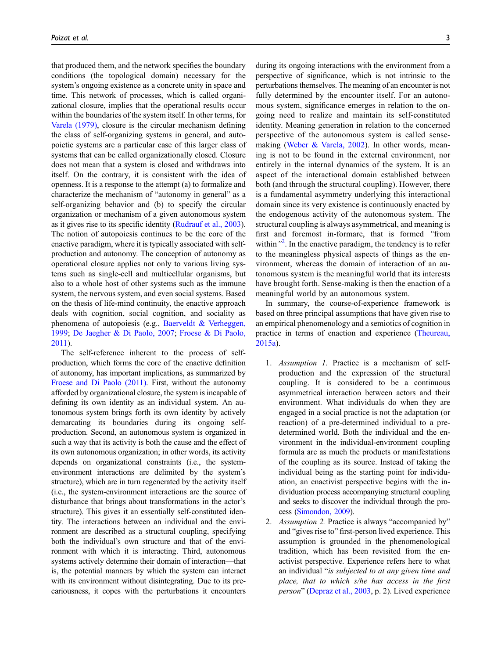that produced them, and the network specifies the boundary conditions (the topological domain) necessary for the system's ongoing existence as a concrete unity in space and time. This network of processes, which is called organizational closure, implies that the operational results occur within the boundaries of the system itself. In other terms, for Varela (1979), closure is the circular mechanism defining the class of self-organizing systems in general, and autopoietic systems are a particular case of this larger class of systems that can be called organizationally closed. Closure does not mean that a system is closed and withdraws into itself. On the contrary, it is consistent with the idea of openness. It is a response to the attempt (a) to formalize and characterize the mechanism of "autonomy in general" as a self-organizing behavior and (b) to specify the circular organization or mechanism of a given autonomous system as it gives rise to its specific identity (Rudrauf et al., 2003). The notion of autopoiesis continues to be the core of the enactive paradigm, where it is typically associated with selfproduction and autonomy. The conception of autonomy as operational closure applies not only to various living systems such as single-cell and multicellular organisms, but also to a whole host of other systems such as the immune system, the nervous system, and even social systems. Based on the thesis of life-mind continuity, the enactive approach deals with cognition, social cognition, and sociality as phenomena of autopoiesis (e.g., Baerveldt & Verheggen, 1999; De Jaegher & Di Paolo, 2007; Froese & Di Paolo, 2011).

The self-reference inherent to the process of selfproduction, which forms the core of the enactive definition of autonomy, has important implications, as summarized by Froese and Di Paolo (2011). First, without the autonomy afforded by organizational closure, the system is incapable of defining its own identity as an individual system. An autonomous system brings forth its own identity by actively demarcating its boundaries during its ongoing selfproduction. Second, an autonomous system is organized in such a way that its activity is both the cause and the effect of its own autonomous organization; in other words, its activity depends on organizational constraints (i.e., the systemenvironment interactions are delimited by the system's structure), which are in turn regenerated by the activity itself (i.e., the system-environment interactions are the source of disturbance that brings about transformations in the actor's structure). This gives it an essentially self-constituted identity. The interactions between an individual and the environment are described as a structural coupling, specifying both the individual's own structure and that of the environment with which it is interacting. Third, autonomous systems actively determine their domain of interaction—that is, the potential manners by which the system can interact with its environment without disintegrating. Due to its precariousness, it copes with the perturbations it encounters during its ongoing interactions with the environment from a perspective of significance, which is not intrinsic to the perturbations themselves. The meaning of an encounter is not fully determined by the encounter itself. For an autonomous system, significance emerges in relation to the ongoing need to realize and maintain its self-constituted identity. Meaning generation in relation to the concerned perspective of the autonomous system is called sensemaking (Weber & Varela, 2002). In other words, meaning is not to be found in the external environment, nor entirely in the internal dynamics of the system. It is an aspect of the interactional domain established between both (and through the structural coupling). However, there is a fundamental asymmetry underlying this interactional domain since its very existence is continuously enacted by the endogenous activity of the autonomous system. The structural coupling is always asymmetrical, and meaning is first and foremost in-formare, that is formed "from within"<sup>2</sup>. In the enactive paradigm, the tendency is to refer to the meaningless physical aspects of things as the environment, whereas the domain of interaction of an autonomous system is the meaningful world that its interests have brought forth. Sense-making is then the enaction of a meaningful world by an autonomous system.

In summary, the course-of-experience framework is based on three principal assumptions that have given rise to an empirical phenomenology and a semiotics of cognition in practice in terms of enaction and experience (Theureau, 2015a).

- 1. Assumption 1. Practice is a mechanism of selfproduction and the expression of the structural coupling. It is considered to be a continuous asymmetrical interaction between actors and their environment. What individuals do when they are engaged in a social practice is not the adaptation (or reaction) of a pre-determined individual to a predetermined world. Both the individual and the environment in the individual-environment coupling formula are as much the products or manifestations of the coupling as its source. Instead of taking the individual being as the starting point for individuation, an enactivist perspective begins with the individuation process accompanying structural coupling and seeks to discover the individual through the process (Simondon, 2009).
- 2. Assumption 2. Practice is always "accompanied by" and "gives rise to" first-person lived experience. This assumption is grounded in the phenomenological tradition, which has been revisited from the enactivist perspective. Experience refers here to what an individual "is subjected to at any given time and place, that to which s/he has access in the first person" (Depraz et al., 2003, p. 2). Lived experience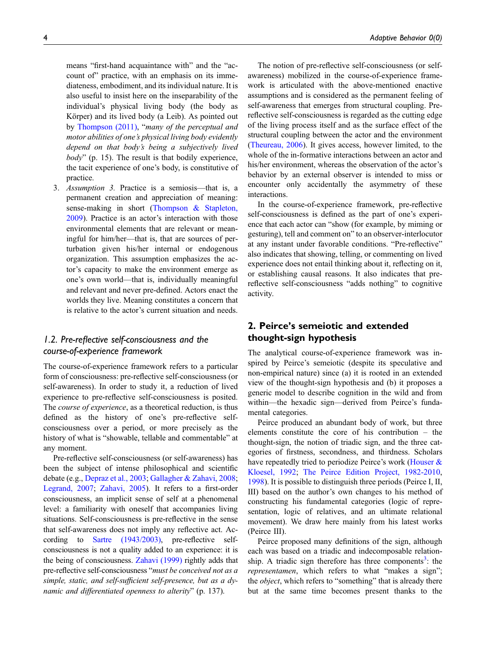means "first-hand acquaintance with" and the "account of" practice, with an emphasis on its immediateness, embodiment, and its individual nature. It is also useful to insist here on the inseparability of the individual's physical living body (the body as Körper) and its lived body (a Leib). As pointed out by Thompson (2011), "many of the perceptual and motor abilities of one's physical living body evidently depend on that body's being a subjectively lived  $body$ " (p. 15). The result is that bodily experience, the tacit experience of one's body, is constitutive of practice.

3. Assumption 3. Practice is a semiosis—that is, a permanent creation and appreciation of meaning: sense-making in short (Thompson & Stapleton, 2009). Practice is an actor's interaction with those environmental elements that are relevant or meaningful for him/her—that is, that are sources of perturbation given his/her internal or endogenous organization. This assumption emphasizes the actor's capacity to make the environment emerge as one's own world—that is, individually meaningful and relevant and never pre-defined. Actors enact the worlds they live. Meaning constitutes a concern that is relative to the actor's current situation and needs.

## 1.2. Pre-reflective self-consciousness and the course-of-experience framework

The course-of-experience framework refers to a particular form of consciousness: pre-reflective self-consciousness (or self-awareness). In order to study it, a reduction of lived experience to pre-reflective self-consciousness is posited. The course of experience, as a theoretical reduction, is thus defined as the history of one's pre-reflective selfconsciousness over a period, or more precisely as the history of what is "showable, tellable and commentable" at any moment.

Pre-reflective self-consciousness (or self-awareness) has been the subject of intense philosophical and scientific debate (e.g., Depraz et al., 2003; Gallagher & Zahavi, 2008; Legrand, 2007; Zahavi, 2005). It refers to a first-order consciousness, an implicit sense of self at a phenomenal level: a familiarity with oneself that accompanies living situations. Self-consciousness is pre-reflective in the sense that self-awareness does not imply any reflective act. According to Sartre (1943/2003), pre-reflective selfconsciousness is not a quality added to an experience: it is the being of consciousness. Zahavi (1999) rightly adds that pre-reflective self-consciousness "must be conceived not as a simple, static, and self-sufficient self-presence, but as a dynamic and differentiated openness to alterity" (p. 137).

The notion of pre-reflective self-consciousness (or selfawareness) mobilized in the course-of-experience framework is articulated with the above-mentioned enactive assumptions and is considered as the permanent feeling of self-awareness that emerges from structural coupling. Prereflective self-consciousness is regarded as the cutting edge of the living process itself and as the surface effect of the structural coupling between the actor and the environment (Theureau, 2006). It gives access, however limited, to the whole of the in-formative interactions between an actor and his/her environment, whereas the observation of the actor's behavior by an external observer is intended to miss or encounter only accidentally the asymmetry of these interactions.

In the course-of-experience framework, pre-reflective self-consciousness is defined as the part of one's experience that each actor can "show (for example, by miming or gesturing), tell and comment on" to an observer-interlocutor at any instant under favorable conditions. "Pre-reflective" also indicates that showing, telling, or commenting on lived experience does not entail thinking about it, reflecting on it, or establishing causal reasons. It also indicates that prereflective self-consciousness "adds nothing" to cognitive activity.

# 2. Peirce's semeiotic and extended thought-sign hypothesis

The analytical course-of-experience framework was inspired by Peirce's semeiotic (despite its speculative and non-empirical nature) since (a) it is rooted in an extended view of the thought-sign hypothesis and (b) it proposes a generic model to describe cognition in the wild and from within—the hexadic sign—derived from Peirce's fundamental categories.

Peirce produced an abundant body of work, but three elements constitute the core of his contribution – the thought-sign, the notion of triadic sign, and the three categories of firstness, secondness, and thirdness. Scholars have repeatedly tried to periodize Peirce's work (Houser & Kloesel, 1992; The Peirce Edition Project, 1982-2010, 1998). It is possible to distinguish three periods (Peirce I, II, III) based on the author's own changes to his method of constructing his fundamental categories (logic of representation, logic of relatives, and an ultimate relational movement). We draw here mainly from his latest works (Peirce III).

Peirce proposed many definitions of the sign, although each was based on a triadic and indecomposable relationship. A triadic sign therefore has three components<sup>3</sup>: the representamen, which refers to what "makes a sign"; the *object*, which refers to "something" that is already there but at the same time becomes present thanks to the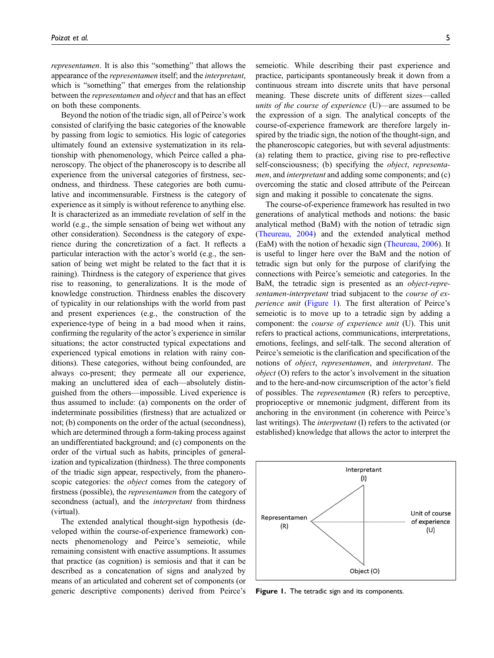representamen. It is also this "something" that allows the appearance of the representamen itself; and the interpretant, which is "something" that emerges from the relationship between the representamen and object and that has an effect on both these components.

Beyond the notion of the triadic sign, all of Peirce's work consisted of clarifying the basic categories of the knowable by passing from logic to semiotics. His logic of categories ultimately found an extensive systematization in its relationship with phenomenology, which Peirce called a phaneroscopy. The object of the phaneroscopy is to describe all experience from the universal categories of firstness, secondness, and thirdness. These categories are both cumulative and incommensurable. Firstness is the category of experience as it simply is without reference to anything else. It is characterized as an immediate revelation of self in the world (e.g., the simple sensation of being wet without any other consideration). Secondness is the category of experience during the concretization of a fact. It reflects a particular interaction with the actor's world (e.g., the sensation of being wet might be related to the fact that it is raining). Thirdness is the category of experience that gives rise to reasoning, to generalizations. It is the mode of knowledge construction. Thirdness enables the discovery of typicality in our relationships with the world from past and present experiences (e.g., the construction of the experience-type of being in a bad mood when it rains, confirming the regularity of the actor's experience in similar situations; the actor constructed typical expectations and experienced typical emotions in relation with rainy conditions). These categories, without being confounded, are always co-present; they permeate all our experience, making an uncluttered idea of each—absolutely distinguished from the others—impossible. Lived experience is thus assumed to include: (a) components on the order of indeterminate possibilities (firstness) that are actualized or not; (b) components on the order of the actual (secondness), which are determined through a form-taking process against an undifferentiated background; and (c) components on the order of the virtual such as habits, principles of generalization and typicalization (thirdness). The three components of the triadic sign appear, respectively, from the phaneroscopic categories: the *object* comes from the category of firstness (possible), the representamen from the category of secondness (actual), and the *interpretant* from thirdness (virtual).

The extended analytical thought-sign hypothesis (developed within the course-of-experience framework) connects phenomenology and Peirce's semeiotic, while remaining consistent with enactive assumptions. It assumes that practice (as cognition) is semiosis and that it can be described as a concatenation of signs and analyzed by means of an articulated and coherent set of components (or generic descriptive components) derived from Peirce's semeiotic. While describing their past experience and practice, participants spontaneously break it down from a continuous stream into discrete units that have personal meaning. These discrete units of different sizes—called units of the course of experience (U)—are assumed to be the expression of a sign. The analytical concepts of the course-of-experience framework are therefore largely inspired by the triadic sign, the notion of the thought-sign, and the phaneroscopic categories, but with several adjustments: (a) relating them to practice, giving rise to pre-reflective self-consciousness; (b) specifying the *object*, *representa*men, and interpretant and adding some components; and (c) overcoming the static and closed attribute of the Peircean sign and making it possible to concatenate the signs.

The course-of-experience framework has resulted in two generations of analytical methods and notions: the basic analytical method (BaM) with the notion of tetradic sign (Theureau, 2004) and the extended analytical method (EaM) with the notion of hexadic sign (Theureau, 2006). It is useful to linger here over the BaM and the notion of tetradic sign but only for the purpose of clarifying the connections with Peirce's semeiotic and categories. In the BaM, the tetradic sign is presented as an object-representamen-interpretant triad subjacent to the course of experience unit (Figure 1). The first alteration of Peirce's semeiotic is to move up to a tetradic sign by adding a component: the course of experience unit (U). This unit refers to practical actions, communications, interpretations, emotions, feelings, and self-talk. The second alteration of Peirce's semeiotic is the clarification and specification of the notions of object, representamen, and interpretant. The object (O) refers to the actor's involvement in the situation and to the here-and-now circumscription of the actor's field of possibles. The representamen (R) refers to perceptive, proprioceptive or mnemonic judgment, different from its anchoring in the environment (in coherence with Peirce's last writings). The interpretant (I) refers to the activated (or established) knowledge that allows the actor to interpret the



Figure 1. The tetradic sign and its components.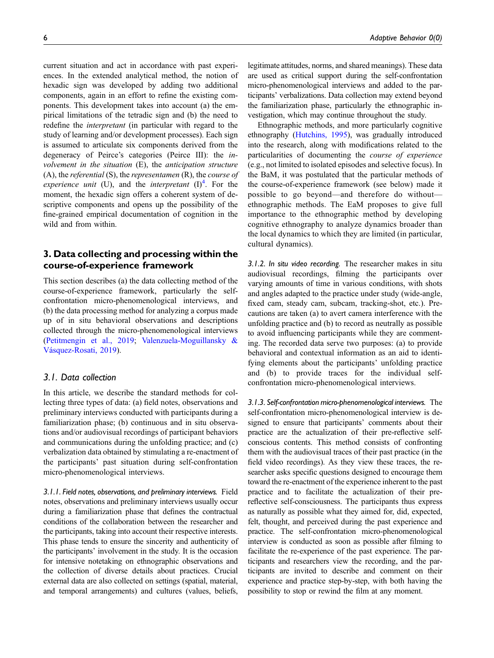current situation and act in accordance with past experiences. In the extended analytical method, the notion of hexadic sign was developed by adding two additional components, again in an effort to refine the existing components. This development takes into account (a) the empirical limitations of the tetradic sign and (b) the need to redefine the interpretant (in particular with regard to the study of learning and/or development processes). Each sign is assumed to articulate six components derived from the degeneracy of Peirce's categories (Peirce III): the involvement in the situation (E), the anticipation structure (A), the referential (S), the representamen (R), the course of experience unit (U), and the interpretant  $(I)^4$ . For the moment, the hexadic sign offers a coherent system of descriptive components and opens up the possibility of the fine-grained empirical documentation of cognition in the wild and from within.

## 3. Data collecting and processing within the course-of-experience framework

This section describes (a) the data collecting method of the course-of-experience framework, particularly the selfconfrontation micro-phenomenological interviews, and (b) the data processing method for analyzing a corpus made up of in situ behavioral observations and descriptions collected through the micro-phenomenological interviews (Petitmengin et al., 2019; Valenzuela-Moguillansky & Vásquez-Rosati, 2019).

## 3.1. Data collection

In this article, we describe the standard methods for collecting three types of data: (a) field notes, observations and preliminary interviews conducted with participants during a familiarization phase; (b) continuous and in situ observations and/or audiovisual recordings of participant behaviors and communications during the unfolding practice; and (c) verbalization data obtained by stimulating a re-enactment of the participants' past situation during self-confrontation micro-phenomenological interviews.

3.1.1. Field notes, observations, and preliminary interviews. Field notes, observations and preliminary interviews usually occur during a familiarization phase that defines the contractual conditions of the collaboration between the researcher and the participants, taking into account their respective interests. This phase tends to ensure the sincerity and authenticity of the participants' involvement in the study. It is the occasion for intensive notetaking on ethnographic observations and the collection of diverse details about practices. Crucial external data are also collected on settings (spatial, material, and temporal arrangements) and cultures (values, beliefs, vestigation, which may continue throughout the study. Ethnographic methods, and more particularly cognitive ethnography (Hutchins, 1995), was gradually introduced into the research, along with modifications related to the particularities of documenting the course of experience (e.g., not limited to isolated episodes and selective focus). In the BaM, it was postulated that the particular methods of the course-of-experience framework (see below) made it possible to go beyond—and therefore do without ethnographic methods. The EaM proposes to give full importance to the ethnographic method by developing cognitive ethnography to analyze dynamics broader than the local dynamics to which they are limited (in particular, cultural dynamics).

the familiarization phase, particularly the ethnographic in-

3.1.2. In situ video recording. The researcher makes in situ audiovisual recordings, filming the participants over varying amounts of time in various conditions, with shots and angles adapted to the practice under study (wide-angle, fixed cam, steady cam, subcam, tracking-shot, etc.). Precautions are taken (a) to avert camera interference with the unfolding practice and (b) to record as neutrally as possible to avoid influencing participants while they are commenting. The recorded data serve two purposes: (a) to provide behavioral and contextual information as an aid to identifying elements about the participants' unfolding practice and (b) to provide traces for the individual selfconfrontation micro-phenomenological interviews.

3.1.3. Self-confrontation micro-phenomenological interviews. The self-confrontation micro-phenomenological interview is designed to ensure that participants' comments about their practice are the actualization of their pre-reflective selfconscious contents. This method consists of confronting them with the audiovisual traces of their past practice (in the field video recordings). As they view these traces, the researcher asks specific questions designed to encourage them toward the re-enactment of the experience inherent to the past practice and to facilitate the actualization of their prereflective self-consciousness. The participants thus express as naturally as possible what they aimed for, did, expected, felt, thought, and perceived during the past experience and practice. The self-confrontation micro-phenomenological interview is conducted as soon as possible after filming to facilitate the re-experience of the past experience. The participants and researchers view the recording, and the participants are invited to describe and comment on their experience and practice step-by-step, with both having the possibility to stop or rewind the film at any moment.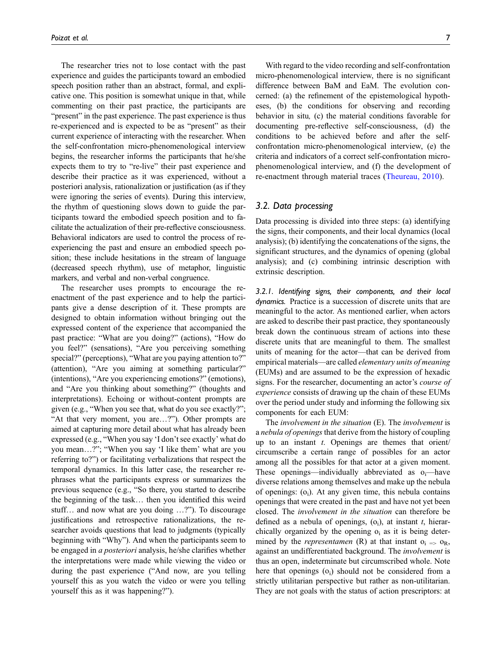The researcher tries not to lose contact with the past experience and guides the participants toward an embodied speech position rather than an abstract, formal, and explicative one. This position is somewhat unique in that, while commenting on their past practice, the participants are "present" in the past experience. The past experience is thus re-experienced and is expected to be as "present" as their current experience of interacting with the researcher. When the self-confrontation micro-phenomenological interview begins, the researcher informs the participants that he/she expects them to try to "re-live" their past experience and describe their practice as it was experienced, without a posteriori analysis, rationalization or justification (as if they were ignoring the series of events). During this interview, the rhythm of questioning slows down to guide the participants toward the embodied speech position and to facilitate the actualization of their pre-reflective consciousness. Behavioral indicators are used to control the process of reexperiencing the past and ensure an embodied speech position; these include hesitations in the stream of language (decreased speech rhythm), use of metaphor, linguistic markers, and verbal and non-verbal congruence.

The researcher uses prompts to encourage the reenactment of the past experience and to help the participants give a dense description of it. These prompts are designed to obtain information without bringing out the expressed content of the experience that accompanied the past practice: "What are you doing?" (actions), "How do you feel?" (sensations), "Are you perceiving something special?" (perceptions), "What are you paying attention to?" (attention), "Are you aiming at something particular?" (intentions), "Are you experiencing emotions?" (emotions), and "Are you thinking about something?" (thoughts and interpretations). Echoing or without-content prompts are given (e.g., "When you see that, what do you see exactly?"; "At that very moment, you are…?"). Other prompts are aimed at capturing more detail about what has already been expressed (e.g., "When you say 'I don't see exactly' what do you mean…?"; "When you say 'I like them' what are you referring to?") or facilitating verbalizations that respect the temporal dynamics. In this latter case, the researcher rephrases what the participants express or summarizes the previous sequence (e.g., "So there, you started to describe the beginning of the task… then you identified this weird stuff… and now what are you doing …?"). To discourage justifications and retrospective rationalizations, the researcher avoids questions that lead to judgments (typically beginning with "Why"). And when the participants seem to be engaged in a posteriori analysis, he/she clarifies whether the interpretations were made while viewing the video or during the past experience ("And now, are you telling yourself this as you watch the video or were you telling yourself this as it was happening?").

With regard to the video recording and self-confrontation micro-phenomenological interview, there is no significant difference between BaM and EaM. The evolution concerned: (a) the refinement of the epistemological hypotheses, (b) the conditions for observing and recording behavior in situ, (c) the material conditions favorable for documenting pre-reflective self-consciousness, (d) the conditions to be achieved before and after the selfconfrontation micro-phenomenological interview, (e) the criteria and indicators of a correct self-confrontation microphenomenological interview, and (f) the development of re-enactment through material traces (Theureau, 2010).

## 3.2. Data processing

Data processing is divided into three steps: (a) identifying the signs, their components, and their local dynamics (local analysis); (b) identifying the concatenations of the signs, the significant structures, and the dynamics of opening (global analysis); and (c) combining intrinsic description with extrinsic description.

3.2.1. Identifying signs, their components, and their local dynamics. Practice is a succession of discrete units that are meaningful to the actor. As mentioned earlier, when actors are asked to describe their past practice, they spontaneously break down the continuous stream of actions into these discrete units that are meaningful to them. The smallest units of meaning for the actor—that can be derived from empirical materials—are called elementary units of meaning (EUMs) and are assumed to be the expression of hexadic signs. For the researcher, documenting an actor's course of experience consists of drawing up the chain of these EUMs over the period under study and informing the following six components for each EUM:

The involvement in the situation (E). The involvement is a nebula of openings that derive from the history of coupling up to an instant  $t$ . Openings are themes that orient/ circumscribe a certain range of possibles for an actor among all the possibles for that actor at a given moment. These openings—individually abbreviated as  $o_i$ —have diverse relations among themselves and make up the nebula of openings:  $(o_i)$ . At any given time, this nebula contains openings that were created in the past and have not yet been closed. The involvement in the situation can therefore be defined as a nebula of openings,  $(o_i)$ , at instant t, hierarchically organized by the opening  $o_i$  as it is being determined by the *representamen* (R) at that instant  $o_i \Rightarrow o_R$ , against an undifferentiated background. The involvement is thus an open, indeterminate but circumscribed whole. Note here that openings  $(o_i)$  should not be considered from a strictly utilitarian perspective but rather as non-utilitarian. They are not goals with the status of action prescriptors: at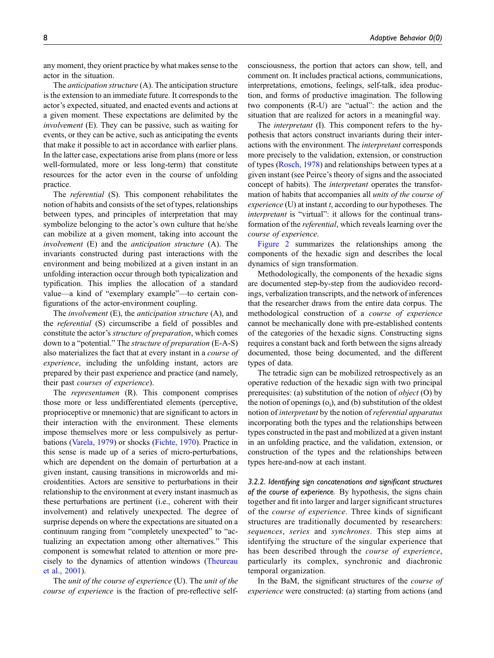any moment, they orient practice by what makes sense to the actor in the situation.

The anticipation structure (A). The anticipation structure is the extension to an immediate future. It corresponds to the actor's expected, situated, and enacted events and actions at a given moment. These expectations are delimited by the involvement (E). They can be passive, such as waiting for events, or they can be active, such as anticipating the events that make it possible to act in accordance with earlier plans. In the latter case, expectations arise from plans (more or less well-formulated, more or less long-term) that constitute resources for the actor even in the course of unfolding practice.

The referential (S). This component rehabilitates the notion of habits and consists of the set of types, relationships between types, and principles of interpretation that may symbolize belonging to the actor's own culture that he/she can mobilize at a given moment, taking into account the involvement (E) and the *anticipation structure* (A). The invariants constructed during past interactions with the environment and being mobilized at a given instant in an unfolding interaction occur through both typicalization and typification. This implies the allocation of a standard value—a kind of "exemplary example"—to certain configurations of the actor-environment coupling.

The *involvement* (E), the *anticipation structure* (A), and the referential (S) circumscribe a field of possibles and constitute the actor's structure of preparation, which comes down to a "potential." The structure of preparation (E-A-S) also materializes the fact that at every instant in a course of experience, including the unfolding instant, actors are prepared by their past experience and practice (and namely, their past courses of experience).

The *representamen* (R). This component comprises those more or less undifferentiated elements (perceptive, proprioceptive or mnemonic) that are significant to actors in their interaction with the environment. These elements impose themselves more or less compulsively as perturbations (Varela, 1979) or shocks (Fichte, 1970). Practice in this sense is made up of a series of micro-perturbations, which are dependent on the domain of perturbation at a given instant, causing transitions in microworlds and microidentities. Actors are sensitive to perturbations in their relationship to the environment at every instant inasmuch as these perturbations are pertinent (i.e., coherent with their involvement) and relatively unexpected. The degree of surprise depends on where the expectations are situated on a continuum ranging from "completely unexpected" to "actualizing an expectation among other alternatives." This component is somewhat related to attention or more precisely to the dynamics of attention windows (Theureau et al., 2001).

The unit of the course of experience (U). The unit of the course of experience is the fraction of pre-reflective selfconsciousness, the portion that actors can show, tell, and comment on. It includes practical actions, communications, interpretations, emotions, feelings, self-talk, idea production, and forms of productive imagination. The following two components (R-U) are "actual": the action and the situation that are realized for actors in a meaningful way.

The interpretant (I). This component refers to the hypothesis that actors construct invariants during their interactions with the environment. The interpretant corresponds more precisely to the validation, extension, or construction of types (Rosch, 1978) and relationships between types at a given instant (see Peirce's theory of signs and the associated concept of habits). The interpretant operates the transformation of habits that accompanies all units of the course of  $experience$  (U) at instant  $t$ , according to our hypotheses. The interpretant is "virtual": it allows for the continual transformation of the referential, which reveals learning over the course of experience.

Figure 2 summarizes the relationships among the components of the hexadic sign and describes the local dynamics of sign transformation.

Methodologically, the components of the hexadic signs are documented step-by-step from the audiovideo recordings, verbalization transcripts, and the network of inferences that the researcher draws from the entire data corpus. The methodological construction of a course of experience cannot be mechanically done with pre-established contents of the categories of the hexadic signs. Constructing signs requires a constant back and forth between the signs already documented, those being documented, and the different types of data.

The tetradic sign can be mobilized retrospectively as an operative reduction of the hexadic sign with two principal prerequisites: (a) substitution of the notion of object (O) by the notion of openings  $(o_i)$ , and  $(b)$  substitution of the oldest notion of interpretant by the notion of referential apparatus incorporating both the types and the relationships between types constructed in the past and mobilized at a given instant in an unfolding practice, and the validation, extension, or construction of the types and the relationships between types here-and-now at each instant.

3.2.2. Identifying sign concatenations and significant structures of the course of experience. By hypothesis, the signs chain together and fit into larger and larger significant structures of the course of experience. Three kinds of significant structures are traditionally documented by researchers: sequences, series and synchrones. This step aims at identifying the structure of the singular experience that has been described through the course of experience, particularly its complex, synchronic and diachronic temporal organization.

In the BaM, the significant structures of the course of experience were constructed: (a) starting from actions (and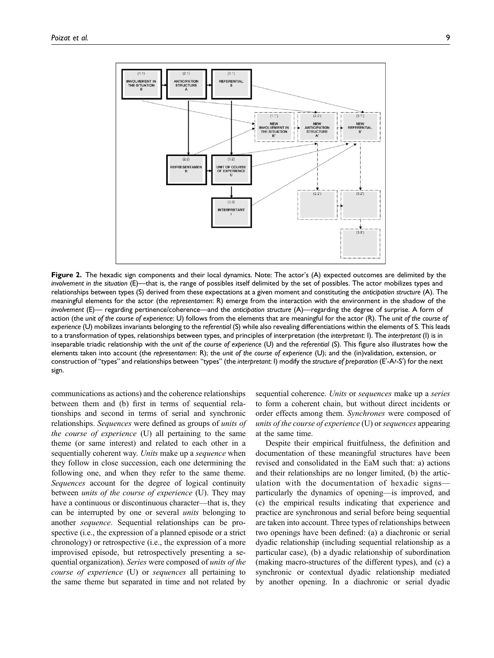

Figure 2. The hexadic sign components and their local dynamics. Note: The actor's (A) expected outcomes are delimited by the involvement in the situation (E)—that is, the range of possibles itself delimited by the set of possibles. The actor mobilizes types and relationships between types (S) derived from these expectations at a given moment and constituting the anticipation structure (A). The meaningful elements for the actor (the representamen: R) emerge from the interaction with the environment in the shadow of the involvement (E)— regarding pertinence/coherence—and the anticipation structure (A)—regarding the degree of surprise. A form of action (the unit of the course of experience: U) follows from the elements that are meaningful for the actor (R). The unit of the course of experience (U) mobilizes invariants belonging to the referential (S) while also revealing differentiations within the elements of S. This leads to a transformation of types, relationships between types, and principles of interpretation (the interpretant: I). The interpretant (I) is in inseparable triadic relationship with the unit of the course of experience (U) and the referential (S). This figure also illustrates how the elements taken into account (the representamen: R); the unit of the course of experience (U); and the (in)validation, extension, or construction of "types" and relationships between "types" (the interpretant: I) modify the structure of preparation (E'-A/-S') for the next sign.

communications as actions) and the coherence relationships between them and (b) first in terms of sequential relationships and second in terms of serial and synchronic relationships. Sequences were defined as groups of units of the course of experience (U) all pertaining to the same theme (or same interest) and related to each other in a sequentially coherent way. Units make up a sequence when they follow in close succession, each one determining the following one, and when they refer to the same theme. Sequences account for the degree of logical continuity between *units of the course of experience* (U). They may have a continuous or discontinuous character—that is, they can be interrupted by one or several units belonging to another sequence. Sequential relationships can be prospective (i.e., the expression of a planned episode or a strict chronology) or retrospective (i.e., the expression of a more improvised episode, but retrospectively presenting a sequential organization). Series were composed of units of the course of experience (U) or sequences all pertaining to the same theme but separated in time and not related by sequential coherence. Units or *sequences* make up a *series* to form a coherent chain, but without direct incidents or order effects among them. Synchrones were composed of units of the course of experience (U) or sequences appearing at the same time.

Despite their empirical fruitfulness, the definition and documentation of these meaningful structures have been revised and consolidated in the EaM such that: a) actions and their relationships are no longer limited, (b) the articulation with the documentation of hexadic signs particularly the dynamics of opening—is improved, and (c) the empirical results indicating that experience and practice are synchronous and serial before being sequential are taken into account. Three types of relationships between two openings have been defined: (a) a diachronic or serial dyadic relationship (including sequential relationship as a particular case), (b) a dyadic relationship of subordination (making macro-structures of the different types), and (c) a synchronic or contextual dyadic relationship mediated by another opening. In a diachronic or serial dyadic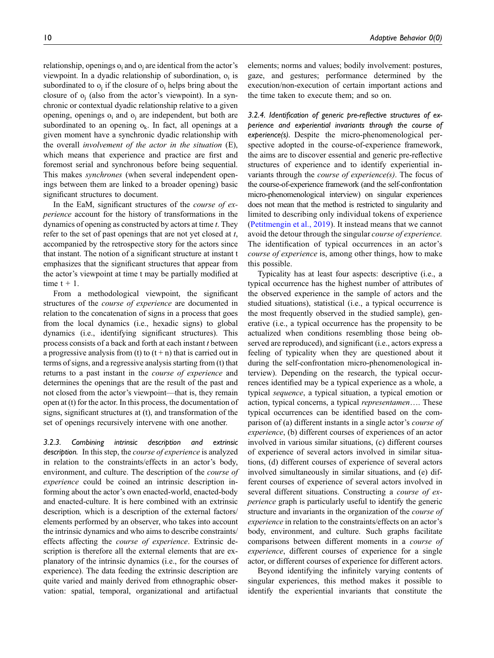relationship, openings  $o_i$  and  $o_i$  are identical from the actor's viewpoint. In a dyadic relationship of subordination,  $o_i$  is subordinated to  $o_i$  if the closure of  $o_i$  helps bring about the closure of  $o_i$  (also from the actor's viewpoint). In a synchronic or contextual dyadic relationship relative to a given opening, openings  $o_i$  and  $o_j$  are independent, but both are subordinated to an opening  $o_k$ . In fact, all openings at a given moment have a synchronic dyadic relationship with the overall involvement of the actor in the situation (E), which means that experience and practice are first and foremost serial and synchronous before being sequential. This makes synchrones (when several independent openings between them are linked to a broader opening) basic significant structures to document.

In the EaM, significant structures of the *course of ex*perience account for the history of transformations in the dynamics of opening as constructed by actors at time  $t$ . They refer to the set of past openings that are not yet closed at  $t$ , accompanied by the retrospective story for the actors since that instant. The notion of a significant structure at instant t emphasizes that the significant structures that appear from the actor's viewpoint at time t may be partially modified at time  $t + 1$ .

From a methodological viewpoint, the significant structures of the course of experience are documented in relation to the concatenation of signs in a process that goes from the local dynamics (i.e., hexadic signs) to global dynamics (i.e., identifying significant structures). This process consists of a back and forth at each instant  $t$  between a progressive analysis from (t) to  $(t + n)$  that is carried out in terms of signs, and a regressive analysis starting from (t) that returns to a past instant in the course of experience and determines the openings that are the result of the past and not closed from the actor's viewpoint—that is, they remain open at (t) for the actor. In this process, the documentation of signs, significant structures at (t), and transformation of the set of openings recursively intervene with one another.

3.2.3. Combining intrinsic description and extrinsic description. In this step, the *course of experience* is analyzed in relation to the constraints/effects in an actor's body, environment, and culture. The description of the course of experience could be coined an intrinsic description informing about the actor's own enacted-world, enacted-body and enacted-culture. It is here combined with an extrinsic description, which is a description of the external factors/ elements performed by an observer, who takes into account the intrinsic dynamics and who aims to describe constraints/ effects affecting the course of experience. Extrinsic description is therefore all the external elements that are explanatory of the intrinsic dynamics (i.e., for the courses of experience). The data feeding the extrinsic description are quite varied and mainly derived from ethnographic observation: spatial, temporal, organizational and artifactual elements; norms and values; bodily involvement: postures, gaze, and gestures; performance determined by the execution/non-execution of certain important actions and the time taken to execute them; and so on.

3.2.4. Identification of generic pre-reflective structures of experience and experiential invariants through the course of experience(s). Despite the micro-phenomenological perspective adopted in the course-of-experience framework, the aims are to discover essential and generic pre-reflective structures of experience and to identify experiential invariants through the course of experience(s). The focus of the course-of-experience framework (and the self-confrontation micro-phenomenological interview) on singular experiences does not mean that the method is restricted to singularity and limited to describing only individual tokens of experience (Petitmengin et al., 2019). It instead means that we cannot avoid the detour through the singular course of experience. The identification of typical occurrences in an actor's course of experience is, among other things, how to make this possible.

Typicality has at least four aspects: descriptive (i.e., a typical occurrence has the highest number of attributes of the observed experience in the sample of actors and the studied situations), statistical (i.e., a typical occurrence is the most frequently observed in the studied sample), generative (i.e., a typical occurrence has the propensity to be actualized when conditions resembling those being observed are reproduced), and significant (i.e., actors express a feeling of typicality when they are questioned about it during the self-confrontation micro-phenomenological interview). Depending on the research, the typical occurrences identified may be a typical experience as a whole, a typical sequence, a typical situation, a typical emotion or action, typical concerns, a typical representamen…. These typical occurrences can be identified based on the comparison of (a) different instants in a single actor's course of experience, (b) different courses of experiences of an actor involved in various similar situations, (c) different courses of experience of several actors involved in similar situations, (d) different courses of experience of several actors involved simultaneously in similar situations, and (e) different courses of experience of several actors involved in several different situations. Constructing a course of experience graph is particularly useful to identify the generic structure and invariants in the organization of the course of experience in relation to the constraints/effects on an actor's body, environment, and culture. Such graphs facilitate comparisons between different moments in a course of experience, different courses of experience for a single actor, or different courses of experience for different actors.

Beyond identifying the infinitely varying contents of singular experiences, this method makes it possible to identify the experiential invariants that constitute the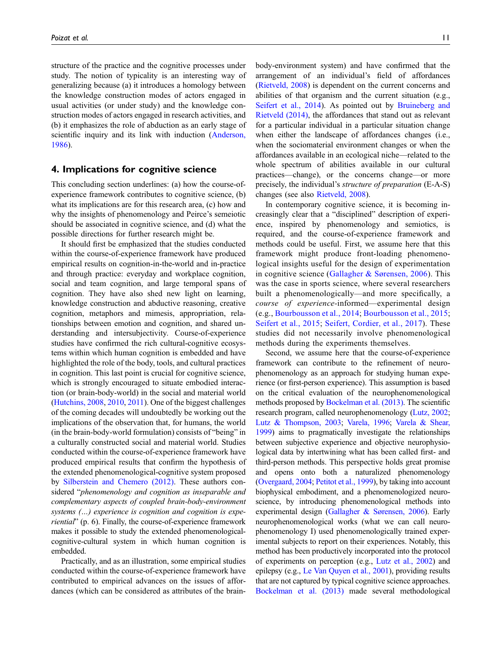structure of the practice and the cognitive processes under study. The notion of typicality is an interesting way of generalizing because (a) it introduces a homology between the knowledge construction modes of actors engaged in usual activities (or under study) and the knowledge construction modes of actors engaged in research activities, and (b) it emphasizes the role of abduction as an early stage of scientific inquiry and its link with induction (Anderson, 1986).

## 4. Implications for cognitive science

This concluding section underlines: (a) how the course-ofexperience framework contributes to cognitive science, (b) what its implications are for this research area, (c) how and why the insights of phenomenology and Peirce's semeiotic should be associated in cognitive science, and (d) what the possible directions for further research might be.

It should first be emphasized that the studies conducted within the course-of-experience framework have produced empirical results on cognition-in-the-world and in-practice and through practice: everyday and workplace cognition, social and team cognition, and large temporal spans of cognition. They have also shed new light on learning, knowledge construction and abductive reasoning, creative cognition, metaphors and mimesis, appropriation, relationships between emotion and cognition, and shared understanding and intersubjectivity. Course-of-experience studies have confirmed the rich cultural-cognitive ecosystems within which human cognition is embedded and have highlighted the role of the body, tools, and cultural practices in cognition. This last point is crucial for cognitive science, which is strongly encouraged to situate embodied interaction (or brain-body-world) in the social and material world (Hutchins, 2008, 2010, 2011). One of the biggest challenges of the coming decades will undoubtedly be working out the implications of the observation that, for humans, the world (in the brain-body-world formulation) consists of "being" in a culturally constructed social and material world. Studies conducted within the course-of-experience framework have produced empirical results that confirm the hypothesis of the extended phenomenological-cognitive system proposed by Silberstein and Chemero (2012). These authors considered "phenomenology and cognition as inseparable and complementary aspects of coupled brain-body-environment systems (…) experience is cognition and cognition is experiential" (p. 6). Finally, the course-of-experience framework makes it possible to study the extended phenomenologicalcognitive-cultural system in which human cognition is embedded.

Practically, and as an illustration, some empirical studies conducted within the course-of-experience framework have contributed to empirical advances on the issues of affordances (which can be considered as attributes of the brainbody-environment system) and have confirmed that the arrangement of an individual's field of affordances (Rietveld, 2008) is dependent on the current concerns and abilities of that organism and the current situation (e.g., Seifert et al., 2014). As pointed out by Bruineberg and Rietveld (2014), the affordances that stand out as relevant for a particular individual in a particular situation change when either the landscape of affordances changes (i.e., when the sociomaterial environment changes or when the affordances available in an ecological niche—related to the whole spectrum of abilities available in our cultural practices—change), or the concerns change—or more precisely, the individual's structure of preparation (E-A-S) changes (see also Rietveld, 2008).

In contemporary cognitive science, it is becoming increasingly clear that a "disciplined" description of experience, inspired by phenomenology and semiotics, is required, and the course-of-experience framework and methods could be useful. First, we assume here that this framework might produce front-loading phenomenological insights useful for the design of experimentation in cognitive science (Gallagher & Sørensen, 2006). This was the case in sports science, where several researchers built a phenomenologically—and more specifically, a course of experience-informed—experimental design (e.g., Bourbousson et al., 2014; Bourbousson et al., 2015; Seifert et al., 2015; Seifert, Cordier, et al., 2017). These studies did not necessarily involve phenomenological methods during the experiments themselves.

Second, we assume here that the course-of-experience framework can contribute to the refinement of neurophenomenology as an approach for studying human experience (or first-person experience). This assumption is based on the critical evaluation of the neurophenomenological methods proposed by Bockelman et al. (2013). The scientific research program, called neurophenomenology (Lutz, 2002; Lutz & Thompson, 2003; Varela, 1996; Varela & Shear, 1999) aims to pragmatically investigate the relationships between subjective experience and objective neurophysiological data by intertwining what has been called first- and third-person methods. This perspective holds great promise and opens onto both a naturalized phenomenology (Overgaard, 2004; Petitot et al., 1999), by taking into account biophysical embodiment, and a phenomenologized neuroscience, by introducing phenomenological methods into experimental design (Gallagher & Sørensen, 2006). Early neurophenomenological works (what we can call neurophenomenology I) used phenomenologically trained experimental subjects to report on their experiences. Notably, this method has been productively incorporated into the protocol of experiments on perception (e.g., Lutz et al., 2002) and epilepsy (e.g., Le Van Quyen et al., 2001), providing results that are not captured by typical cognitive science approaches. Bockelman et al. (2013) made several methodological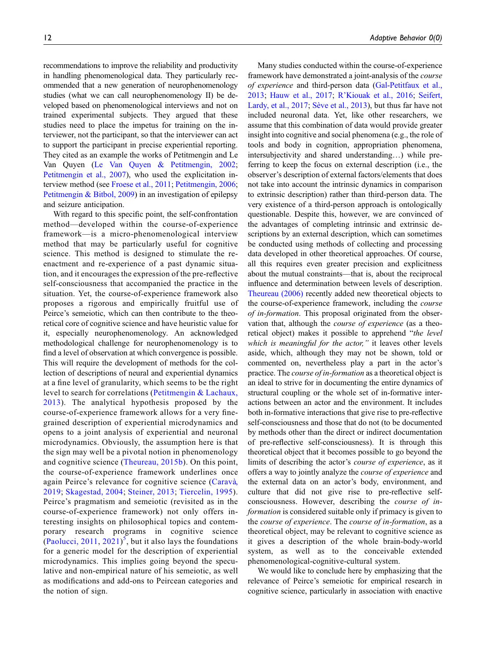recommendations to improve the reliability and productivity in handling phenomenological data. They particularly recommended that a new generation of neurophenomenology studies (what we can call neurophenomenology II) be developed based on phenomenological interviews and not on trained experimental subjects. They argued that these studies need to place the impetus for training on the interviewer, not the participant, so that the interviewer can act to support the participant in precise experiential reporting. They cited as an example the works of Petitmengin and Le Van Quyen (Le Van Quyen & Petitmengin, 2002; Petitmengin et al., 2007), who used the explicitation interview method (see Froese et al., 2011; Petitmengin, 2006; Petitmengin & Bitbol, 2009) in an investigation of epilepsy and seizure anticipation.

With regard to this specific point, the self-confrontation method—developed within the course-of-experience framework—is a micro-phenomenological interview method that may be particularly useful for cognitive science. This method is designed to stimulate the reenactment and re-experience of a past dynamic situation, and it encourages the expression of the pre-reflective self-consciousness that accompanied the practice in the situation. Yet, the course-of-experience framework also proposes a rigorous and empirically fruitful use of Peirce's semeiotic, which can then contribute to the theoretical core of cognitive science and have heuristic value for it, especially neurophenomenology. An acknowledged methodological challenge for neurophenomenology is to find a level of observation at which convergence is possible. This will require the development of methods for the collection of descriptions of neural and experiential dynamics at a fine level of granularity, which seems to be the right level to search for correlations (Petitmengin & Lachaux, 2013). The analytical hypothesis proposed by the course-of-experience framework allows for a very finegrained description of experiential microdynamics and opens to a joint analysis of experiential and neuronal microdynamics. Obviously, the assumption here is that the sign may well be a pivotal notion in phenomenology and cognitive science (Theureau, 2015b). On this point, the course-of-experience framework underlines once again Peirce's relevance for cognitive science (Caravà, 2019; Skagestad, 2004; Steiner, 2013; Tiercelin, 1995). Peirce's pragmatism and semeiotic (revisited as in the course-of-experience framework) not only offers interesting insights on philosophical topics and contemporary research programs in cognitive science (Paolucci, 2011, 2021)<sup>5</sup>, but it also lays the foundations for a generic model for the description of experiential microdynamics. This implies going beyond the speculative and non-empirical nature of his semeiotic, as well as modifications and add-ons to Peircean categories and the notion of sign.

Many studies conducted within the course-of-experience framework have demonstrated a joint-analysis of the course of experience and third-person data (Gal-Petitfaux et al., 2013; Hauw et al., 2017; R'Kiouak et al., 2016; Seifert, Lardy, et al., 2017; Sève et al., 2013), but thus far have not included neuronal data. Yet, like other researchers, we assume that this combination of data would provide greater insight into cognitive and social phenomena (e.g., the role of tools and body in cognition, appropriation phenomena, intersubjectivity and shared understanding…) while preferring to keep the focus on external description (i.e., the observer's description of external factors/elements that does not take into account the intrinsic dynamics in comparison to extrinsic description) rather than third-person data. The very existence of a third-person approach is ontologically questionable. Despite this, however, we are convinced of the advantages of completing intrinsic and extrinsic descriptions by an external description, which can sometimes be conducted using methods of collecting and processing data developed in other theoretical approaches. Of course, all this requires even greater precision and explicitness about the mutual constraints—that is, about the reciprocal influence and determination between levels of description. Theureau (2006) recently added new theoretical objects to the course-of-experience framework, including the course of in-formation. This proposal originated from the observation that, although the course of experience (as a theoretical object) makes it possible to apprehend "the level which is meaningful for the actor," it leaves other levels aside, which, although they may not be shown, told or commented on, nevertheless play a part in the actor's practice. The course of in-formation as a theoretical object is an ideal to strive for in documenting the entire dynamics of structural coupling or the whole set of in-formative interactions between an actor and the environment. It includes both in-formative interactions that give rise to pre-reflective self-consciousness and those that do not (to be documented by methods other than the direct or indirect documentation of pre-reflective self-consciousness). It is through this theoretical object that it becomes possible to go beyond the limits of describing the actor's course of experience, as it offers a way to jointly analyze the course of experience and the external data on an actor's body, environment, and culture that did not give rise to pre-reflective selfconsciousness. However, describing the course of information is considered suitable only if primacy is given to the course of experience. The course of in-formation, as a theoretical object, may be relevant to cognitive science as it gives a description of the whole brain-body-world system, as well as to the conceivable extended phenomenological-cognitive-cultural system.

We would like to conclude here by emphasizing that the relevance of Peirce's semeiotic for empirical research in cognitive science, particularly in association with enactive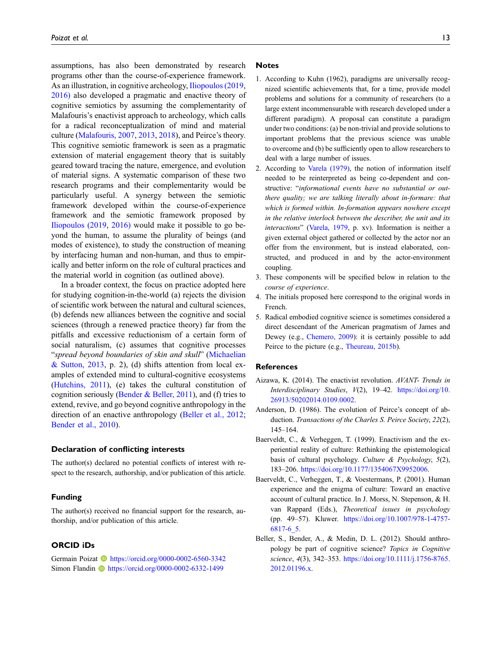assumptions, has also been demonstrated by research programs other than the course-of-experience framework. As an illustration, in cognitive archeology, Iliopoulos (2019, 2016) also developed a pragmatic and enactive theory of cognitive semiotics by assuming the complementarity of Malafouris's enactivist approach to archeology, which calls for a radical reconceptualization of mind and material culture (Malafouris, 2007, 2013, 2018), and Peirce's theory. This cognitive semiotic framework is seen as a pragmatic extension of material engagement theory that is suitably geared toward tracing the nature, emergence, and evolution of material signs. A systematic comparison of these two research programs and their complementarity would be particularly useful. A synergy between the semiotic framework developed within the course-of-experience framework and the semiotic framework proposed by Iliopoulos (2019, 2016) would make it possible to go beyond the human, to assume the plurality of beings (and modes of existence), to study the construction of meaning by interfacing human and non-human, and thus to empirically and better inform on the role of cultural practices and the material world in cognition (as outlined above).

In a broader context, the focus on practice adopted here for studying cognition-in-the-world (a) rejects the division of scientific work between the natural and cultural sciences, (b) defends new alliances between the cognitive and social sciences (through a renewed practice theory) far from the pitfalls and excessive reductionism of a certain form of social naturalism, (c) assumes that cognitive processes "spread beyond boundaries of skin and skull" (Michaelian & Sutton, 2013, p. 2), (d) shifts attention from local examples of extended mind to cultural-cognitive ecosystems (Hutchins, 2011), (e) takes the cultural constitution of cognition seriously (Bender  $\&$  Beller, 2011), and (f) tries to extend, revive, and go beyond cognitive anthropology in the direction of an enactive anthropology (Beller et al., 2012; Bender et al., 2010).

### Declaration of conflicting interests

The author(s) declared no potential conflicts of interest with respect to the research, authorship, and/or publication of this article.

#### Funding

The author(s) received no financial support for the research, authorship, and/or publication of this article.

### ORCID iDs

Germain Poizat **I** <https://orcid.org/0000-0002-6560-3342> Simon Flandin **b** <https://orcid.org/0000-0002-6332-1499>

#### Notes

- 1. According to Kuhn (1962), paradigms are universally recognized scientific achievements that, for a time, provide model problems and solutions for a community of researchers (to a large extent incommensurable with research developed under a different paradigm). A proposal can constitute a paradigm under two conditions: (a) be non-trivial and provide solutions to important problems that the previous science was unable to overcome and (b) be sufficiently open to allow researchers to deal with a large number of issues.
- 2. According to Varela (1979), the notion of information itself needed to be reinterpreted as being co-dependent and constructive: "informational events have no substantial or outthere quality; we are talking literally about in-formare: that which is formed within. In-formation appears nowhere except in the relative interlock between the describer, the unit and its interactions" (Varela, 1979, p. xv). Information is neither a given external object gathered or collected by the actor nor an offer from the environment, but is instead elaborated, constructed, and produced in and by the actor-environment coupling.
- 3. These components will be specified below in relation to the course of experience.
- 4. The initials proposed here correspond to the original words in French.
- 5. Radical embodied cognitive science is sometimes considered a direct descendant of the American pragmatism of James and Dewey (e.g., Chemero, 2009): it is certainly possible to add Peirce to the picture (e.g., Theureau, 2015b).

#### **References**

- Aizawa, K. (2014). The enactivist revolution. AVANT- Trends in Interdisciplinary Studies, V(2), 19–42. [https://doi.org/10.](https://doi.org/10.26913/50202014.0109.0002) [26913/50202014.0109.0002](https://doi.org/10.26913/50202014.0109.0002).
- Anderson, D. (1986). The evolution of Peirce's concept of abduction. Transactions of the Charles S. Peirce Society, 22(2), 145–164.
- Baerveldt, C., & Verheggen, T. (1999). Enactivism and the experiential reality of culture: Rethinking the epistemological basis of cultural psychology. Culture & Psychology, 5(2), 183–206. [https://doi.org/10.1177/1354067X9952006.](https://doi.org/10.1177/1354067X9952006)
- Baerveldt, C., Verheggen, T., & Voestermans, P. (2001). Human experience and the enigma of culture: Toward an enactive account of cultural practice. In J. Morss, N. Stepenson, & H. van Rappard (Eds.), Theoretical issues in psychology (pp. 49–57). Kluwer. [https://doi.org/10.1007/978-1-4757-](https://doi.org/10.1007/978-1-4757-6817-6_5) [6817-6\\_5.](https://doi.org/10.1007/978-1-4757-6817-6_5)
- Beller, S., Bender, A., & Medin, D. L. (2012). Should anthropology be part of cognitive science? Topics in Cognitive science, 4(3), 342–353. [https://doi.org/10.1111/j.1756-8765.](https://doi.org/10.1111/j.1756-8765.2012.01196.x) [2012.01196.x](https://doi.org/10.1111/j.1756-8765.2012.01196.x).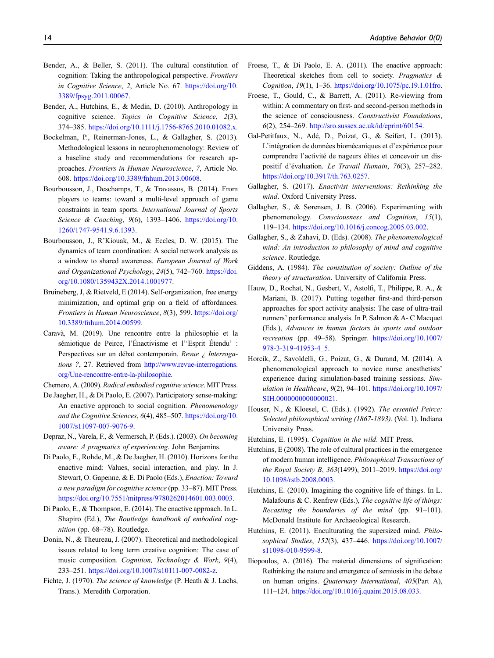- Bender, A., & Beller, S. (2011). The cultural constitution of cognition: Taking the anthropological perspective. Frontiers in Cognitive Science, 2, Article No. 67. [https://doi.org/10.](https://doi.org/10.3389/fpsyg.2011.00067) [3389/fpsyg.2011.00067.](https://doi.org/10.3389/fpsyg.2011.00067)
- Bender, A., Hutchins, E., & Medin, D. (2010). Anthropology in cognitive science. Topics in Cognitive Science, 2(3), 374–385. [https://doi.org/10.1111/j.1756-8765.2010.01082.x.](https://doi.org/10.1111/j.1756-8765.2010.01082.x)
- Bockelman, P., Reinerman-Jones, L., & Gallagher, S. (2013). Methodological lessons in neurophenomenology: Review of a baseline study and recommendations for research approaches. Frontiers in Human Neuroscience, 7, Article No. 608. [https://doi.org/10.3389/fnhum.2013.00608.](https://doi.org/10.3389/fnhum.2013.00608)
- Bourbousson, J., Deschamps, T., & Travassos, B. (2014). From players to teams: toward a multi-level approach of game constraints in team sports. International Journal of Sports Science & Coaching, 9(6), 1393–1406. [https://doi.org/10.](https://doi.org/10.1260/1747-9541.9.6.1393) [1260/1747-9541.9.6.1393.](https://doi.org/10.1260/1747-9541.9.6.1393)
- Bourbousson, J., R'Kiouak, M., & Eccles, D. W. (2015). The dynamics of team coordination: A social network analysis as a window to shared awareness. European Journal of Work and Organizational Psychology, 24(5), 742–760. [https://doi.](https://doi.org/10.1080/1359432X.2014.1001977) [org/10.1080/1359432X.2014.1001977.](https://doi.org/10.1080/1359432X.2014.1001977)
- Bruineberg, J, & Rietveld, E (2014). Self-organization, free energy minimization, and optimal grip on a field of affordances. Frontiers in Human Neuroscience, 8(3), 599. [https://doi.org/](https://doi.org/10.3389/fnhum.2014.00599) [10.3389/fnhum.2014.00599.](https://doi.org/10.3389/fnhum.2014.00599)
- Carava, M. (2019). Une rencontre entre la philosophie et la ` sémiotique de Peirce, l'Énactivisme et l''Esprit Étendu' : Perspectives sur un débat contemporain. Revue ¿ Interrogations ?, 27. Retrieved from [http://www.revue-interrogations.](http://www.revue-interrogations.org/Une-rencontre-entre-la-philosophie) [org/Une-rencontre-entre-la-philosophie](http://www.revue-interrogations.org/Une-rencontre-entre-la-philosophie).
- Chemero, A. (2009). Radical embodied cognitive science. MIT Press.
- De Jaegher, H., & Di Paolo, E. (2007). Participatory sense-making: An enactive approach to social cognition. Phenomenology and the Cognitive Sciences, 6(4), 485–507. [https://doi.org/10.](https://doi.org/10.1007/s11097-007-9076-9) [1007/s11097-007-9076-9.](https://doi.org/10.1007/s11097-007-9076-9)
- Depraz, N., Varela, F., & Vermersch, P. (Eds.). (2003). On becoming aware: A pragmatics of experiencing. John Benjamins.
- Di Paolo, E., Rohde, M., & De Jaegher, H. (2010). Horizons for the enactive mind: Values, social interaction, and play. In J. Stewart, O. Gapenne, & E. Di Paolo (Eds.), Enaction: Toward a new paradigm for cognitive science (pp. 33–87). MIT Press. [https://doi.org/10.7551/mitpress/9780262014601.003.0003.](https://doi.org/10.7551/mitpress/9780262014601.003.0003)
- Di Paolo, E., & Thompson, E. (2014). The enactive approach. In L. Shapiro (Ed.), The Routledge handbook of embodied cognition (pp. 68–78). Routledge.
- Donin, N., & Theureau, J. (2007). Theoretical and methodological issues related to long term creative cognition: The case of music composition. Cognition, Technology & Work, 9(4), 233–251. <https://doi.org/10.1007/s10111-007-0082-z>.
- Fichte, J. (1970). The science of knowledge (P. Heath & J. Lachs, Trans.). Meredith Corporation.
- Froese, T., & Di Paolo, E. A. (2011). The enactive approach: Theoretical sketches from cell to society. Pragmatics & Cognition, 19(1), 1–36. <https://doi.org/10.1075/pc.19.1.01fro>.
- Froese, T., Gould, C., & Barrett, A. (2011). Re-viewing from within: A commentary on first- and second-person methods in the science of consciousness. Constructivist Foundations, 6(2), 254–269. <http://sro.sussex.ac.uk/id/eprint/60154>.
- Gal-Petitfaux, N., Ade, D., Poizat, G., & Seifert, L. (2013). ´ L'intégration de données biomécaniques et d'expérience pour comprendre l'activité de nageurs élites et concevoir un dispositif d'évaluation. Le Travail Humain, 76(3), 257-282. [https://doi.org/10.3917/th.763.0257.](https://doi.org/10.3917/th.763.0257)
- Gallagher, S. (2017). Enactivist interventions: Rethinking the mind. Oxford University Press.
- Gallagher, S., & Sørensen, J. B. (2006). Experimenting with phenomenology. Consciousness and Cognition, 15(1), 119–134. [https://doi.org/10.1016/j.concog.2005.03.002.](https://doi.org/10.1016/j.concog.2005.03.002)
- Gallagher, S., & Zahavi, D. (Eds). (2008). The phenomenological mind: An introduction to philosophy of mind and cognitive science. Routledge.
- Giddens, A. (1984). The constitution of society: Outline of the theory of structuration. University of California Press.
- Hauw, D., Rochat, N., Gesbert, V., Astolfi, T., Philippe, R. A., & Mariani, B. (2017). Putting together first-and third-person approaches for sport activity analysis: The case of ultra-trail runners' performance analysis. In P. Salmon & A- C Macquet (Eds.), Advances in human factors in sports and outdoor recreation (pp. 49–58). Springer. [https://doi.org/10.1007/](https://doi.org/10.1007/978-3-319-41953-4_5) [978-3-319-41953-4\\_5.](https://doi.org/10.1007/978-3-319-41953-4_5)
- Horcik, Z., Savoldelli, G., Poizat, G., & Durand, M. (2014). A phenomenological approach to novice nurse anesthetists' experience during simulation-based training sessions. Simulation in Healthcare, 9(2), 94–101. [https://doi.org/10.1097/](https://doi.org/10.1097/SIH.0000000000000021) SIH.00000000000000021.
- Houser, N., & Kloesel, C. (Eds.). (1992). The essentiel Peirce: Selected philosophical writing (1867-1893). (Vol. 1). Indiana University Press.
- Hutchins, E. (1995). Cognition in the wild. MIT Press.
- Hutchins, E (2008). The role of cultural practices in the emergence of modern human intelligence. Philosophical Transactions of the Royal Society B, 363(1499), 2011–2019. [https://doi.org/](https://doi.org/10.1098/rstb.2008.0003) [10.1098/rstb.2008.0003](https://doi.org/10.1098/rstb.2008.0003).
- Hutchins, E. (2010). Imagining the cognitive life of things. In L. Malafouris & C. Renfrew (Eds.), The cognitive life of things: Recasting the boundaries of the mind (pp. 91–101). McDonald Institute for Archaeological Research.
- Hutchins, E. (2011). Enculturating the supersized mind. Philosophical Studies, 152(3), 437–446. [https://doi.org/10.1007/](https://doi.org/10.1007/s11098-010-9599-8) [s11098-010-9599-8.](https://doi.org/10.1007/s11098-010-9599-8)
- Iliopoulos, A. (2016). The material dimensions of signification: Rethinking the nature and emergence of semiosis in the debate on human origins. Quaternary International, 405(Part A), 111–124. [https://doi.org/10.1016/j.quaint.2015.08.033.](https://doi.org/10.1016/j.quaint.2015.08.033)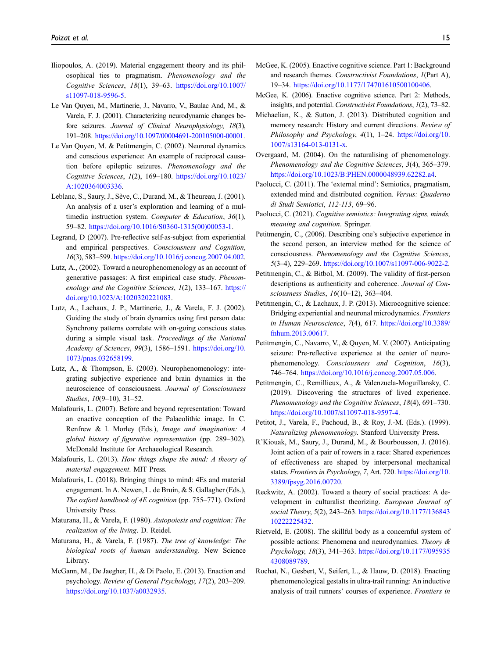- Iliopoulos, A. (2019). Material engagement theory and its philosophical ties to pragmatism. Phenomenology and the Cognitive Sciences, 18(1), 39–63. [https://doi.org/10.1007/](https://doi.org/10.1007/s11097-018-9596-5) [s11097-018-9596-5.](https://doi.org/10.1007/s11097-018-9596-5)
- Le Van Quyen, M., Martinerie, J., Navarro, V., Baulac And, M., & Varela, F. J. (2001). Characterizing neurodynamic changes before seizures. Journal of Clinical Neurophysiology, 18(3), 191–208. <https://doi.org/10.1097/00004691-200105000-00001>.
- Le Van Quyen, M. & Petitmengin, C. (2002). Neuronal dynamics and conscious experience: An example of reciprocal causation before epileptic seizures. Phenomenology and the Cognitive Sciences, 1(2), 169–180. [https://doi.org/10.1023/](https://doi.org/10.1023/A:1020364003336) [A:1020364003336.](https://doi.org/10.1023/A:1020364003336)
- Leblanc, S., Saury, J., Sève, C., Durand, M., & Theureau, J. (2001). An analysis of a user's exploration and learning of a multimedia instruction system. Computer & Education, 36(1), 59–82. [https://doi.org/10.1016/S0360-1315\(00\)00053-1.](https://doi.org/10.1016/S0360-1315(00)00053-1)
- Legrand, D (2007). Pre-reflective self-as-subject from experiential and empirical perspectives. Consciousness and Cognition, 16(3), 583–599. <https://doi.org/10.1016/j.concog.2007.04.002>.
- Lutz, A., (2002). Toward a neurophenomenology as an account of generative passages: A first empirical case study. Phenomenology and the Cognitive Sciences, 1(2), 133-167. [https://](https://doi.org/10.1023/A:1020320221083) [doi.org/10.1023/A:1020320221083](https://doi.org/10.1023/A:1020320221083).
- Lutz, A., Lachaux, J. P., Martinerie, J., & Varela, F. J. (2002). Guiding the study of brain dynamics using first person data: Synchrony patterns correlate with on-going conscious states during a simple visual task. Proceedings of the National Academy of Sciences, 99(3), 1586–1591. [https://doi.org/10.](https://doi.org/10.1073/pnas.032658199) [1073/pnas.032658199.](https://doi.org/10.1073/pnas.032658199)
- Lutz, A., & Thompson, E. (2003). Neurophenomenology: integrating subjective experience and brain dynamics in the neuroscience of consciousness. Journal of Consciousness Studies, 10(9–10), 31–52.
- Malafouris, L. (2007). Before and beyond representation: Toward an enactive conception of the Palaeolithic image. In C. Renfrew & I. Morley (Eds.), Image and imagination: A global history of figurative representation (pp. 289–302). McDonald Institute for Archaeological Research.
- Malafouris, L. (2013). How things shape the mind: A theory of material engagement. MIT Press.
- Malafouris, L. (2018). Bringing things to mind: 4Es and material engagement. In A. Newen, L. de Bruin, & S. Gallagher (Eds.), The oxford handbook of 4E cognition (pp. 755–771). Oxford University Press.
- Maturana, H., & Varela, F. (1980). Autopoiesis and cognition: The realization of the living. D. Reidel.
- Maturana, H., & Varela, F. (1987). The tree of knowledge: The biological roots of human understanding. New Science Library.
- McGann, M., De Jaegher, H., & Di Paolo, E. (2013). Enaction and psychology. Review of General Psychology, 17(2), 203–209. [https://doi.org/10.1037/a0032935.](https://doi.org/10.1037/a0032935)
- McGee, K. (2005). Enactive cognitive science. Part 1: Background and research themes. Constructivist Foundations, 1(Part A), 19–34. <https://doi.org/10.1177/174701610500100406>.
- McGee, K. (2006). Enactive cognitive science. Part 2: Methods, insights, and potential. Constructivist Foundations, 1(2), 73–82.
- Michaelian, K., & Sutton, J. (2013). Distributed cognition and memory research: History and current directions. Review of Philosophy and Psychology, 4(1), 1-24. [https://doi.org/10.](https://doi.org/10.1007/s13164-013-0131-x) [1007/s13164-013-0131-x](https://doi.org/10.1007/s13164-013-0131-x).
- Overgaard, M. (2004). On the naturalising of phenomenology. Phenomenology and the Cognitive Sciences, 3(4), 365–379. <https://doi.org/10.1023/B:PHEN.0000048939.62282.a4>.
- Paolucci, C. (2011). The 'external mind': Semiotics, pragmatism, extended mind and distributed cognition. Versus: Quaderno di Studi Semiotici, 112-113, 69–96.
- Paolucci, C. (2021). Cognitive semiotics: Integrating signs, minds, meaning and cognition. Springer.
- Petitmengin, C., (2006). Describing one's subjective experience in the second person, an interview method for the science of consciousness. Phenomenology and the Cognitive Sciences, 5(3–4), 229–269. <https://doi.org/10.1007/s11097-006-9022-2>.
- Petitmengin, C., & Bitbol, M. (2009). The validity of first-person descriptions as authenticity and coherence. Journal of Consciousness Studies, 16(10–12), 363–404.
- Petitmengin, C., & Lachaux, J. P. (2013). Microcognitive science: Bridging experiential and neuronal microdynamics. Frontiers in Human Neuroscience, 7(4), 617. [https://doi.org/10.3389/](https://doi.org/10.3389/fnhum.2013.00617) [fnhum.2013.00617](https://doi.org/10.3389/fnhum.2013.00617).
- Petitmengin, C., Navarro, V., & Quyen, M. V. (2007). Anticipating seizure: Pre-reflective experience at the center of neurophenomenology. Consciousness and Cognition, 16(3), 746–764. <https://doi.org/10.1016/j.concog.2007.05.006>.
- Petitmengin, C., Remillieux, A., & Valenzuela-Moguillansky, C. (2019). Discovering the structures of lived experience. Phenomenology and the Cognitive Sciences, 18(4), 691–730. <https://doi.org/10.1007/s11097-018-9597-4>.
- Petitot, J., Varela, F., Pachoud, B., & Roy, J.-M. (Eds.). (1999). Naturalizing phenomenology. Stanford University Press.
- R'Kiouak, M., Saury, J., Durand, M., & Bourbousson, J. (2016). Joint action of a pair of rowers in a race: Shared experiences of effectiveness are shaped by interpersonal mechanical states. Frontiers in Psychology, 7, Art. 720. [https://doi.org/10.](https://doi.org/10.3389/fpsyg.2016.00720) [3389/fpsyg.2016.00720](https://doi.org/10.3389/fpsyg.2016.00720).
- Reckwitz, A. (2002). Toward a theory of social practices: A development in culturalist theorizing. European Journal of social Theory, 5(2), 243–263. [https://doi.org/10.1177/136843](https://doi.org/10.1177/13684310222225432) [10222225432.](https://doi.org/10.1177/13684310222225432)
- Rietveld, E. (2008). The skillful body as a concernful system of possible actions: Phenomena and neurodynamics. Theory & Psychology, 18(3), 341–363. [https://doi.org/10.1177/095935](https://doi.org/10.1177/0959354308089789) [4308089789](https://doi.org/10.1177/0959354308089789).
- Rochat, N., Gesbert, V., Seifert, L., & Hauw, D. (2018). Enacting phenomenological gestalts in ultra-trail running: An inductive analysis of trail runners' courses of experience. Frontiers in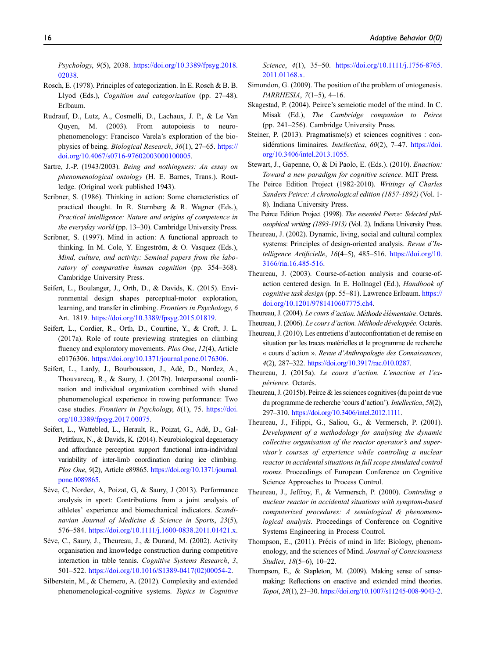Psychology, 9(5), 2038. [https://doi.org/10.3389/fpsyg.2018.](https://doi.org/10.3389/fpsyg.2018.02038) [02038.](https://doi.org/10.3389/fpsyg.2018.02038)

- Rosch, E. (1978). Principles of categorization. In E. Rosch & B. B. Llyod (Eds.), Cognition and categorization (pp. 27–48). Erlbaum.
- Rudrauf, D., Lutz, A., Cosmelli, D., Lachaux, J. P., & Le Van Quyen, M. (2003). From autopoiesis to neurophenomenology: Francisco Varela's exploration of the biophysics of being. Biological Research, 36(1), 27–65. [https://](https://doi.org/10.4067/s0716-97602003000100005) [doi.org/10.4067/s0716-97602003000100005](https://doi.org/10.4067/s0716-97602003000100005).
- Sartre, J.-P. (1943/2003). Being and nothingness: An essay on phenomenological ontology (H. E. Barnes, Trans.). Routledge. (Original work published 1943).
- Scribner, S. (1986). Thinking in action: Some characteristics of practical thought. In R. Sternberg & R. Wagner (Eds.), Practical intelligence: Nature and origins of competence in the everyday world (pp. 13–30). Cambridge University Press.
- Scribner, S. (1997). Mind in action: A functional approach to thinking. In M. Cole, Y. Engeström, & O. Vasquez (Eds.), Mind, culture, and activity: Seminal papers from the laboratory of comparative human cognition (pp. 354–368). Cambridge University Press.
- Seifert, L., Boulanger, J., Orth, D., & Davids, K. (2015). Environmental design shapes perceptual-motor exploration, learning, and transfer in climbing. Frontiers in Psychology, 6 Art. 1819. [https://doi.org/10.3389/fpsyg.2015.01819.](https://doi.org/10.3389/fpsyg.2015.01819)
- Seifert, L., Cordier, R., Orth, D., Courtine, Y., & Croft, J. L. (2017a). Role of route previewing strategies on climbing fluency and exploratory movements. Plos One, 12(4), Article e0176306. <https://doi.org/10.1371/journal.pone.0176306>.
- Seifert, L., Lardy, J., Bourbousson, J., Adé, D., Nordez, A., Thouvarecq, R., & Saury, J. (2017b). Interpersonal coordination and individual organization combined with shared phenomenological experience in rowing performance: Two case studies. Frontiers in Psychology, 8(1), 75. [https://doi.](https://doi.org/10.3389/fpsyg.2017.00075) [org/10.3389/fpsyg.2017.00075.](https://doi.org/10.3389/fpsyg.2017.00075)
- Seifert, L., Wattebled, L., Herault, R., Poizat, G., Adé, D., Gal-Petitfaux, N., & Davids, K. (2014). Neurobiological degeneracy and affordance perception support functional intra-individual variability of inter-limb coordination during ice climbing. Plos One, 9(2), Article e89865. [https://doi.org/10.1371/journal.](https://doi.org/10.1371/journal.pone.0089865) [pone.0089865.](https://doi.org/10.1371/journal.pone.0089865)
- Sève, C, Nordez, A, Poizat, G, & Saury, J (2013). Performance analysis in sport: Contributions from a joint analysis of athletes' experience and biomechanical indicators. Scandinavian Journal of Medicine & Science in Sports, 23(5), 576–584. [https://doi.org/10.1111/j.1600-0838.2011.01421.x.](https://doi.org/10.1111/j.1600-0838.2011.01421.x)
- Sève, C., Saury, J., Theureau, J., & Durand, M. (2002). Activity organisation and knowledge construction during competitive interaction in table tennis. Cognitive Systems Research, 3, 501–522. [https://doi.org/10.1016/S1389-0417\(02\)00054-2](https://doi.org/10.1016/S1389-0417(02)00054-2).
- Silberstein, M., & Chemero, A. (2012). Complexity and extended phenomenological-cognitive systems. Topics in Cognitive

Science, 4(1), 35–50. [https://doi.org/10.1111/j.1756-8765.](https://doi.org/10.1111/j.1756-8765.2011.01168.x) [2011.01168.x.](https://doi.org/10.1111/j.1756-8765.2011.01168.x)

- Simondon, G. (2009). The position of the problem of ontogenesis. PARRHESIA, 7(1–5), 4–16.
- Skagestad, P. (2004). Peirce's semeiotic model of the mind. In C. Misak (Ed.), The Cambridge companion to Peirce (pp. 241–256). Cambridge University Press.
- Steiner, P. (2013). Pragmatisme(s) et sciences cognitives : considérations liminaires. *Intellectica*,  $60(2)$ , 7–47. [https://doi.](https://doi.org/10.3406/intel.2013.1055) [org/10.3406/intel.2013.1055.](https://doi.org/10.3406/intel.2013.1055)
- Stewart, J., Gapenne, O, & Di Paolo, E. (Eds.). (2010). Enaction: Toward a new paradigm for cognitive science. MIT Press.
- The Peirce Edition Project (1982-2010). Writings of Charles Sanders Peirce: A chronological edition (1857-1892) (Vol. 1- 8). Indiana University Press.
- The Peirce Edition Project (1998). The essentiel Pierce: Selected philosophical writing (1893-1913) (Vol. 2). Indiana University Press.
- Theureau, J. (2002). Dynamic, living, social and cultural complex systems: Principles of design-oriented analysis. Revue d'Intelligence Artificielle, 16(4–5), 485–516. [https://doi.org/10.](https://doi.org/10.3166/ria.16.485-516) [3166/ria.16.485-516.](https://doi.org/10.3166/ria.16.485-516)
- Theureau, J. (2003). Course-of-action analysis and course-ofaction centered design. In E. Hollnagel (Ed.), Handbook of cognitive task design (pp. 55–81). Lawrence Erlbaum. [https://](https://doi.org/10.1201/9781410607775.ch4) [doi.org/10.1201/9781410607775.ch4.](https://doi.org/10.1201/9781410607775.ch4)
- Theureau, J. (2004). Le cours d'action. Méthode élémentaire. Octarès.

Theureau, J. (2006). Le cours d'action. Méthode développée. Octarès.

- Theureau, J. (2010). Les entretiens d'autoconfrontation et de remise en situation par les traces matérielles et le programme de recherche « cours d'action ». Revue d'Anthropologie des Connaissances, 4(2), 287–322. <https://doi.org/10.3917/rac.010.0287>.
- Theureau, J. (2015a). Le cours d'action. L'enaction et l'expérience. Octarès.
- Theureau, J. (2015b). Peirce & les sciences cognitives (du point de vue du programme de recherche 'cours d'action'). Intellectica, 58(2), 297–310. <https://doi.org/10.3406/intel.2012.1111>.
- Theureau, J., Filippi, G., Saliou, G., & Vermersch, P. (2001). Development of a methodology for analysing the dynamic collective organisation of the reactor operator's and supervisor's courses of experience while controling a nuclear reactor in accidental situations in full scope simulated control rooms. Proceedings of European Conference on Cognitive Science Approaches to Process Control.
- Theureau, J., Jeffroy, F., & Vermersch, P. (2000). Controling a nuclear reactor in accidental situations with symptom-based computerized procedures: A semiological & phenomenological analysis. Proceedings of Conference on Cognitive Systems Engineering in Process Control.
- Thompson, E., (2011). Précis of mind in life: Biology, phenomenology, and the sciences of Mind. Journal of Consciousness Studies, 18(5–6), 10–22.
- Thompson, E., & Stapleton, M. (2009). Making sense of sensemaking: Reflections on enactive and extended mind theories. Topoi, 28(1), 23–30. <https://doi.org/10.1007/s11245-008-9043-2>.